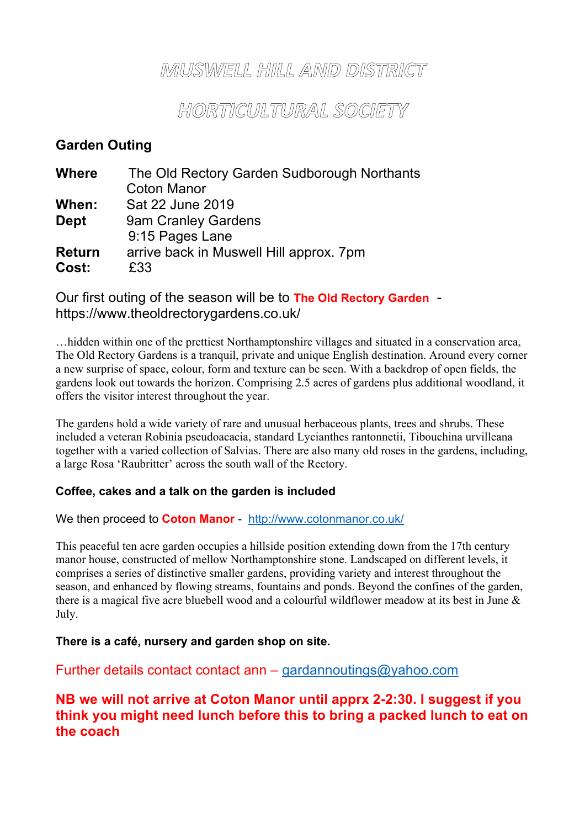## MUSWELL HILL AMD DISTRICT

HORTICULTURAL SOCIETY

## **Garden Outing**

| <b>Where</b>  | The Old Rectory Garden Sudborough Northants |
|---------------|---------------------------------------------|
|               | <b>Coton Manor</b>                          |
| When:         | Sat 22 June 2019                            |
| <b>Dept</b>   | 9am Cranley Gardens                         |
|               | 9:15 Pages Lane                             |
| <b>Return</b> | arrive back in Muswell Hill approx. 7pm     |
| Cost:         | £33                                         |

### Our first outing of the season will be to **The Old Rectory Garden** https://www.theoldrectorygardens.co.uk/

…hidden within one of the prettiest Northamptonshire villages and situated in a conservation area, The Old Rectory Gardens is a tranquil, private and unique English destination. Around every corner a new surprise of space, colour, form and texture can be seen. With a backdrop of open fields, the gardens look out towards the horizon. Comprising 2.5 acres of gardens plus additional woodland, it offers the visitor interest throughout the year.

The gardens hold a wide variety of rare and unusual herbaceous plants, trees and shrubs. These included a veteran Robinia pseudoacacia, standard Lycianthes rantonnetii, Tibouchina urvilleana together with a varied collection of Salvias. There are also many old roses in the gardens, including, a large Rosa 'Raubritter' across the south wall of the Rectory.

#### **Coffee, cakes and a talk on the garden is included**

#### We then proceed to **Coton Manor** - http://www.cotonmanor.co.uk/

This peaceful ten acre garden occupies a hillside position extending down from the 17th century manor house, constructed of mellow Northamptonshire stone. Landscaped on different levels, it comprises a series of distinctive smaller gardens, providing variety and interest throughout the season, and enhanced by flowing streams, fountains and ponds. Beyond the confines of the garden, there is a magical five acre bluebell wood and a colourful wildflower meadow at its best in June & July.

#### **There is a café, nursery and garden shop on site.**

Further details contact contact ann – gardannoutings@yahoo.com

### **NB we will not arrive at Coton Manor until apprx 2-2:30. I suggest if you think you might need lunch before this to bring a packed lunch to eat on the coach**